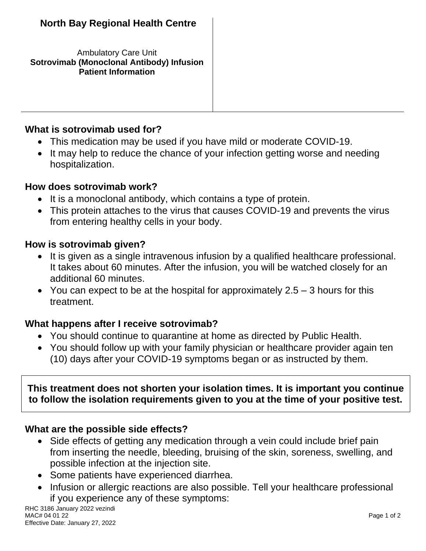Ambulatory Care Unit **Sotrovimab (Monoclonal Antibody) Infusion Patient Information**

#### **What is sotrovimab used for?**

- This medication may be used if you have mild or moderate COVID-19.
- It may help to reduce the chance of your infection getting worse and needing hospitalization.

#### **How does sotrovimab work?**

- It is a monoclonal antibody, which contains a type of protein.
- This protein attaches to the virus that causes COVID-19 and prevents the virus from entering healthy cells in your body.

#### **How is sotrovimab given?**

- It is given as a single intravenous infusion by a qualified healthcare professional. It takes about 60 minutes. After the infusion, you will be watched closely for an additional 60 minutes.
- You can expect to be at the hospital for approximately  $2.5 3$  hours for this treatment.

### **What happens after I receive sotrovimab?**

- You should continue to quarantine at home as directed by Public Health.
- You should follow up with your family physician or healthcare provider again ten (10) days after your COVID-19 symptoms began or as instructed by them.

**This treatment does not shorten your isolation times. It is important you continue to follow the isolation requirements given to you at the time of your positive test.**

### **What are the possible side effects?**

- Side effects of getting any medication through a vein could include brief pain from inserting the needle, bleeding, bruising of the skin, soreness, swelling, and possible infection at the injection site.
- Some patients have experienced diarrhea.
- Infusion or allergic reactions are also possible. Tell your healthcare professional if you experience any of these symptoms: